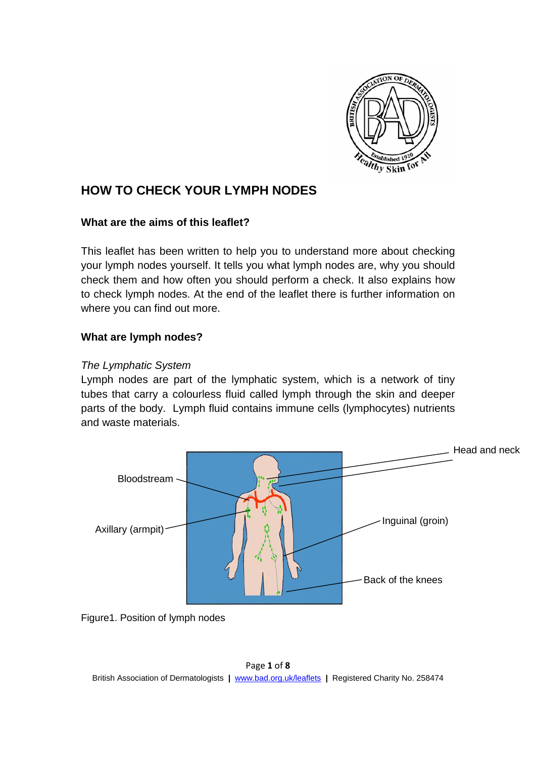

# **HOW TO CHECK YOUR LYMPH NODES**

#### **What are the aims of this leaflet?**

This leaflet has been written to help you to understand more about checking your lymph nodes yourself. It tells you what lymph nodes are, why you should check them and how often you should perform a check. It also explains how to check lymph nodes. At the end of the leaflet there is further information on where you can find out more.

# **What are lymph nodes?**

### *The Lymphatic System*

Lymph nodes are part of the lymphatic system, which is a network of tiny tubes that carry a colourless fluid called lymph through the skin and deeper parts of the body. Lymph fluid contains immune cells (lymphocytes) nutrients and waste materials.



Figure1. Position of lymph nodes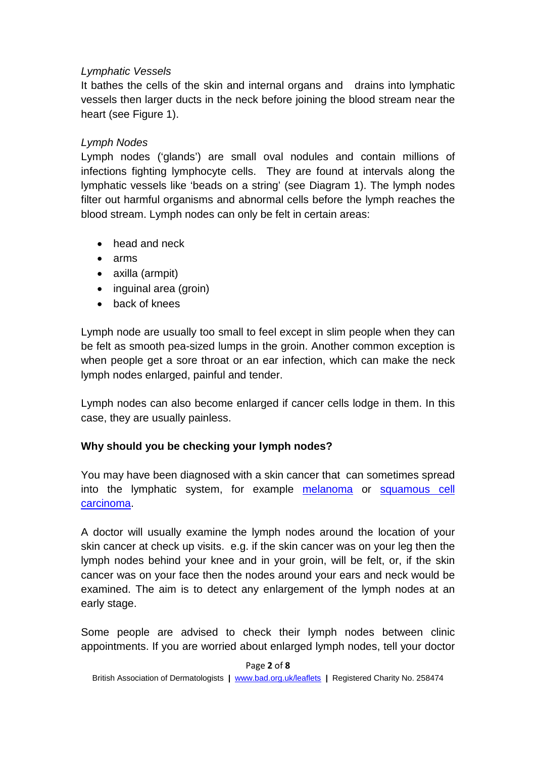### *Lymphatic Vessels*

It bathes the cells of the skin and internal organs and drains into lymphatic vessels then larger ducts in the neck before joining the blood stream near the heart (see Figure 1).

### *Lymph Nodes*

Lymph nodes ('glands') are small oval nodules and contain millions of infections fighting lymphocyte cells. They are found at intervals along the lymphatic vessels like 'beads on a string' (see Diagram 1). The lymph nodes filter out harmful organisms and abnormal cells before the lymph reaches the blood stream. Lymph nodes can only be felt in certain areas:

- head and neck
- arms
- axilla (armpit)
- inguinal area (groin)
- back of knees

Lymph node are usually too small to feel except in slim people when they can be felt as smooth pea-sized lumps in the groin. Another common exception is when people get a sore throat or an ear infection, which can make the neck lymph nodes enlarged, painful and tender.

Lymph nodes can also become enlarged if cancer cells lodge in them. In this case, they are usually painless.

# **Why should you be checking your lymph nodes?**

You may have been diagnosed with a skin cancer that can sometimes spread into the lymphatic system, for example [melanoma](http://www.bad.org.uk/for-the-public/patient-information-leaflets/melanoma-stage-1) or [squamous cell](http://www.bad.org.uk/for-the-public/patient-information-leaflets/squamous-cell-carcinoma)  [carcinoma.](http://www.bad.org.uk/for-the-public/patient-information-leaflets/squamous-cell-carcinoma)

A doctor will usually examine the lymph nodes around the location of your skin cancer at check up visits. e.g. if the skin cancer was on your leg then the lymph nodes behind your knee and in your groin, will be felt, or, if the skin cancer was on your face then the nodes around your ears and neck would be examined. The aim is to detect any enlargement of the lymph nodes at an early stage.

Some people are advised to check their lymph nodes between clinic appointments. If you are worried about enlarged lymph nodes, tell your doctor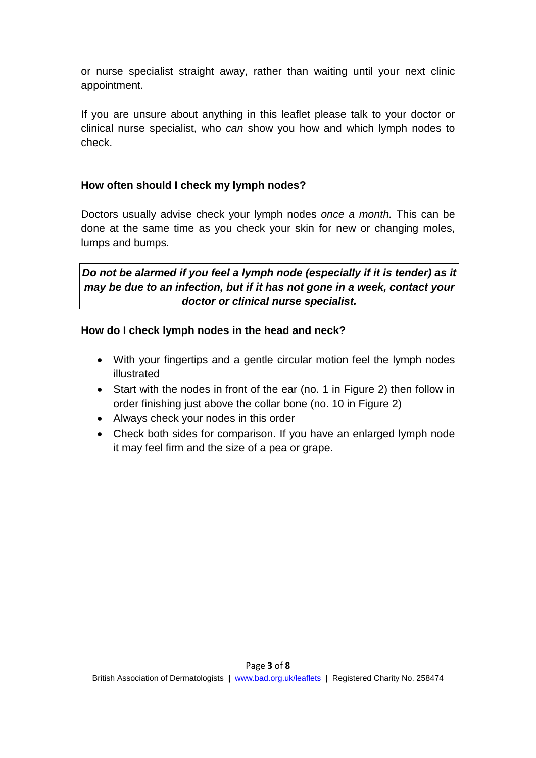or nurse specialist straight away, rather than waiting until your next clinic appointment.

If you are unsure about anything in this leaflet please talk to your doctor or clinical nurse specialist, who *can* show you how and which lymph nodes to check.

# **How often should I check my lymph nodes?**

Doctors usually advise check your lymph nodes *once a month.* This can be done at the same time as you check your skin for new or changing moles, lumps and bumps.

*Do not be alarmed if you feel a lymph node (especially if it is tender) as it may be due to an infection, but if it has not gone in a week, contact your doctor or clinical nurse specialist.*

# **How do I check lymph nodes in the head and neck?**

- With your fingertips and a gentle circular motion feel the lymph nodes illustrated
- Start with the nodes in front of the ear (no. 1 in Figure 2) then follow in order finishing just above the collar bone (no. 10 in Figure 2)
- Always check your nodes in this order
- Check both sides for comparison. If you have an enlarged lymph node it may feel firm and the size of a pea or grape.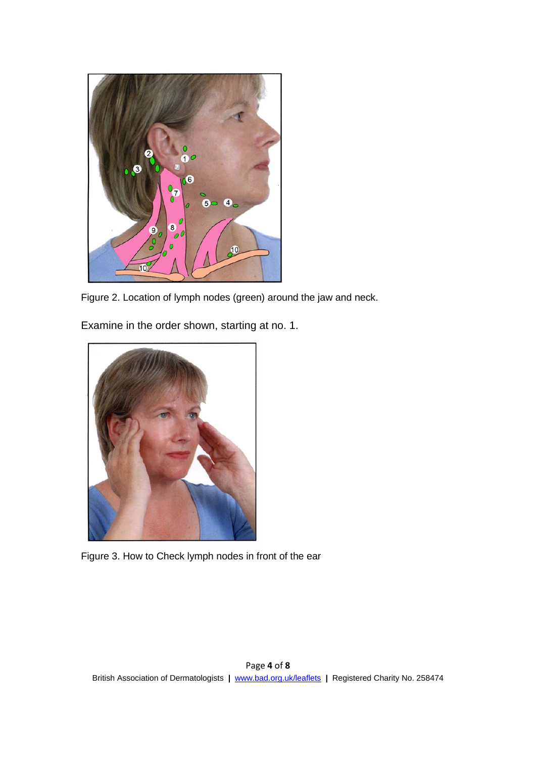

Figure 2. Location of lymph nodes (green) around the jaw and neck.

Examine in the order shown, starting at no. 1.



Figure 3. How to Check lymph nodes in front of the ear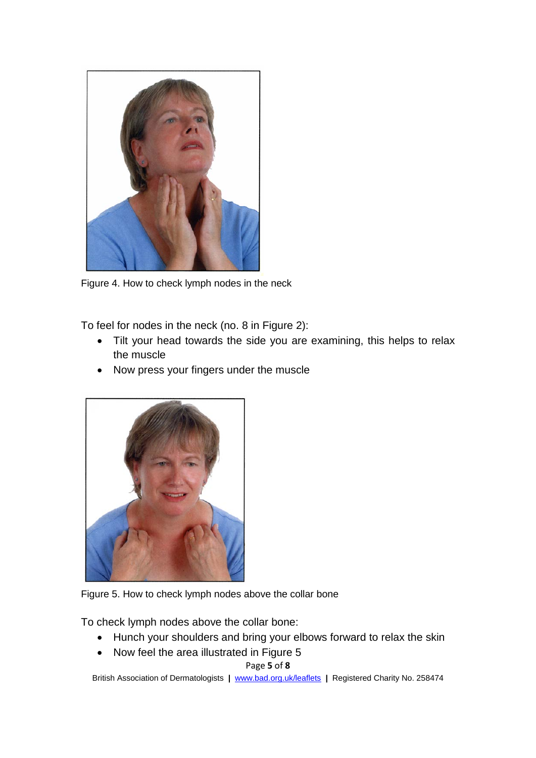

Figure 4. How to check lymph nodes in the neck

To feel for nodes in the neck (no. 8 in Figure 2):

- Tilt your head towards the side you are examining, this helps to relax the muscle
- Now press your fingers under the muscle





To check lymph nodes above the collar bone:

- Hunch your shoulders and bring your elbows forward to relax the skin
- Now feel the area illustrated in Figure 5

Page **5** of **8**

British Association of Dermatologists **|** [www.bad.org.uk/leaflets](http://www.bad.org.uk/leaflets) **|** Registered Charity No. 258474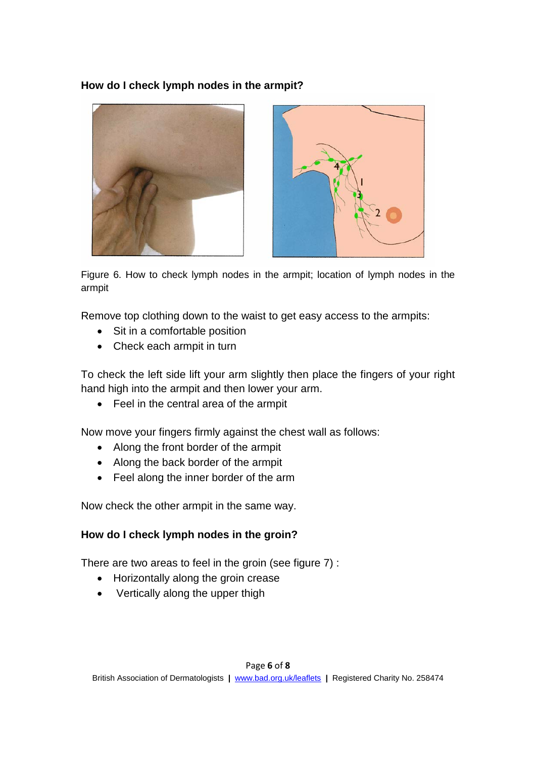# **How do I check lymph nodes in the armpit?**





Figure 6. How to check lymph nodes in the armpit; location of lymph nodes in the armpit

Remove top clothing down to the waist to get easy access to the armpits:

- Sit in a comfortable position
- Check each armpit in turn

To check the left side lift your arm slightly then place the fingers of your right hand high into the armpit and then lower your arm.

• Feel in the central area of the armpit

Now move your fingers firmly against the chest wall as follows:

- Along the front border of the armpit
- Along the back border of the armpit
- Feel along the inner border of the arm

Now check the other armpit in the same way.

# **How do I check lymph nodes in the groin?**

There are two areas to feel in the groin (see figure 7) :

- Horizontally along the groin crease
- Vertically along the upper thigh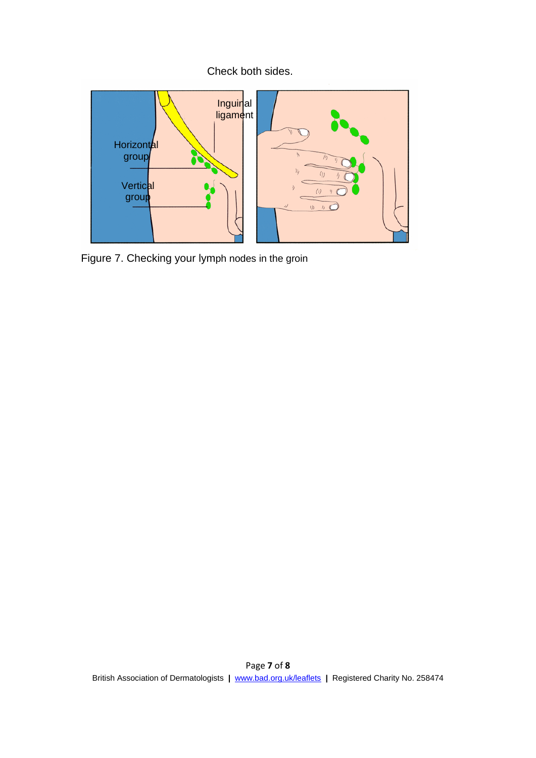# Check both sides.



Figure 7. Checking your lymph nodes in the groin